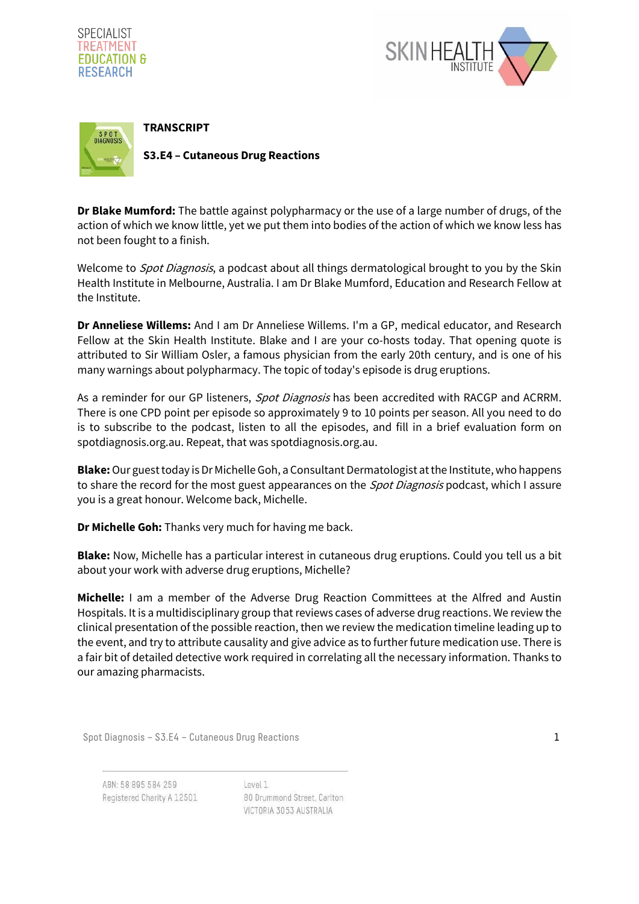





**Dr Blake Mumford:** The battle against polypharmacy or the use of a large number of drugs, of the action of which we know little, yet we put them into bodies of the action of which we know less has not been fought to a finish.

Welcome to *Spot Diagnosis*, a podcast about all things dermatological brought to you by the Skin Health Institute in Melbourne, Australia. I am Dr Blake Mumford, Education and Research Fellow at the Institute.

**Dr Anneliese Willems:** And I am Dr Anneliese Willems. I'm a GP, medical educator, and Research Fellow at the Skin Health Institute. Blake and I are your co-hosts today. That opening quote is attributed to Sir William Osler, a famous physician from the early 20th century, and is one of his many warnings about polypharmacy. The topic of today's episode is drug eruptions.

As a reminder for our GP listeners, Spot Diagnosis has been accredited with RACGP and ACRRM. There is one CPD point per episode so approximately 9 to 10 points per season. All you need to do is to subscribe to the podcast, listen to all the episodes, and fill in a brief evaluation form on spotdiagnosis.org.au. Repeat, that was spotdiagnosis.org.au.

**Blake:** Our guest today is Dr Michelle Goh, a Consultant Dermatologist at the Institute, who happens to share the record for the most guest appearances on the *Spot Diagnosis* podcast, which I assure you is a great honour. Welcome back, Michelle.

**Dr Michelle Goh:** Thanks very much for having me back.

**Blake:** Now, Michelle has a particular interest in cutaneous drug eruptions. Could you tell us a bit about your work with adverse drug eruptions, Michelle?

**Michelle:** I am a member of the Adverse Drug Reaction Committees at the Alfred and Austin Hospitals. It is a multidisciplinary group that reviews cases of adverse drug reactions. We review the clinical presentation of the possible reaction, then we review the medication timeline leading up to the event, and try to attribute causality and give advice as to further future medication use. There is a fair bit of detailed detective work required in correlating all the necessary information. Thanks to our amazing pharmacists.

Spot Diagnosis – S3.E4 – Cutaneous Drug Reactions 1

ABN: 58 895 584 259 Registered Charity A 12501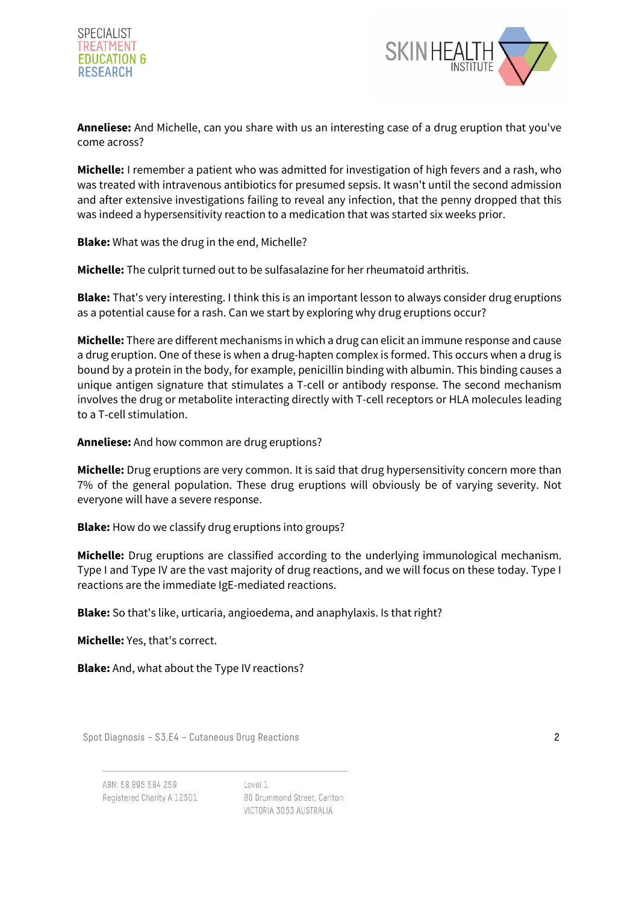



**Anneliese:** And Michelle, can you share with us an interesting case of a drug eruption that you've come across?

**Michelle:** I remember a patient who was admitted for investigation of high fevers and a rash, who was treated with intravenous antibiotics for presumed sepsis. It wasn't until the second admission and after extensive investigations failing to reveal any infection, that the penny dropped that this was indeed a hypersensitivity reaction to a medication that was started six weeks prior.

**Blake:** What was the drug in the end, Michelle?

**Michelle:** The culprit turned out to be sulfasalazine for her rheumatoid arthritis.

**Blake:** That's very interesting. I think this is an important lesson to always consider drug eruptions as a potential cause for a rash. Can we start by exploring why drug eruptions occur?

**Michelle:** There are different mechanisms in which a drug can elicit an immune response and cause a drug eruption. One of these is when a drug-hapten complex is formed. This occurs when a drug is bound by a protein in the body, for example, penicillin binding with albumin. This binding causes a unique antigen signature that stimulates a T-cell or antibody response. The second mechanism involves the drug or metabolite interacting directly with T-cell receptors or HLA molecules leading to a T-cell stimulation.

**Anneliese:** And how common are drug eruptions?

**Michelle:** Drug eruptions are very common. It is said that drug hypersensitivity concern more than 7% of the general population. These drug eruptions will obviously be of varying severity. Not everyone will have a severe response.

**Blake:** How do we classify drug eruptions into groups?

**Michelle:** Drug eruptions are classified according to the underlying immunological mechanism. Type I and Type IV are the vast majority of drug reactions, and we will focus on these today. Type I reactions are the immediate IgE-mediated reactions.

**Blake:** So that's like, urticaria, angioedema, and anaphylaxis. Is that right?

**Michelle:** Yes, that's correct.

**Blake:** And, what about the Type IV reactions?

Spot Diagnosis – S3.E4 – Cutaneous Drug Reactions 2

ABN: 58 895 584 259 Registered Charity A 12501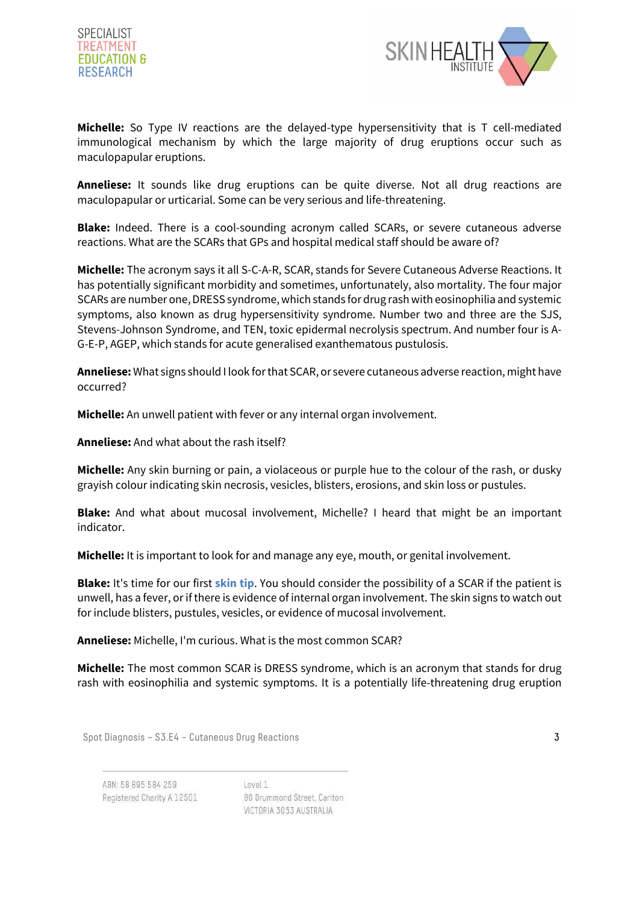



**Michelle:** So Type IV reactions are the delayed-type hypersensitivity that is T cell-mediated immunological mechanism by which the large majority of drug eruptions occur such as maculopapular eruptions.

**Anneliese:** It sounds like drug eruptions can be quite diverse. Not all drug reactions are maculopapular or urticarial. Some can be very serious and life-threatening.

**Blake:** Indeed. There is a cool-sounding acronym called SCARs, or severe cutaneous adverse reactions. What are the SCARs that GPs and hospital medical staff should be aware of?

**Michelle:** The acronym says it all S-C-A-R, SCAR, stands for Severe Cutaneous Adverse Reactions. It has potentially significant morbidity and sometimes, unfortunately, also mortality. The four major SCARs are number one, DRESS syndrome, which stands for drug rash with eosinophilia and systemic symptoms, also known as drug hypersensitivity syndrome. Number two and three are the SJS, Stevens-Johnson Syndrome, and TEN, toxic epidermal necrolysis spectrum. And number four is A-G-E-P, AGEP, which stands for acute generalised exanthematous pustulosis.

**Anneliese:** What signs should I look for that SCAR, or severe cutaneous adverse reaction, might have occurred?

**Michelle:** An unwell patient with fever or any internal organ involvement.

**Anneliese:** And what about the rash itself?

**Michelle:** Any skin burning or pain, a violaceous or purple hue to the colour of the rash, or dusky grayish colour indicating skin necrosis, vesicles, blisters, erosions, and skin loss or pustules.

**Blake:** And what about mucosal involvement, Michelle? I heard that might be an important indicator.

**Michelle:** It is important to look for and manage any eye, mouth, or genital involvement.

**Blake:** It's time for our first **skin tip**. You should consider the possibility of a SCAR if the patient is unwell, has a fever, or if there is evidence of internal organ involvement. The skin signs to watch out for include blisters, pustules, vesicles, or evidence of mucosal involvement.

**Anneliese:** Michelle, I'm curious. What is the most common SCAR?

**Michelle:** The most common SCAR is DRESS syndrome, which is an acronym that stands for drug rash with eosinophilia and systemic symptoms. It is a potentially life-threatening drug eruption

Spot Diagnosis – S3.E4 – Cutaneous Drug Reactions 3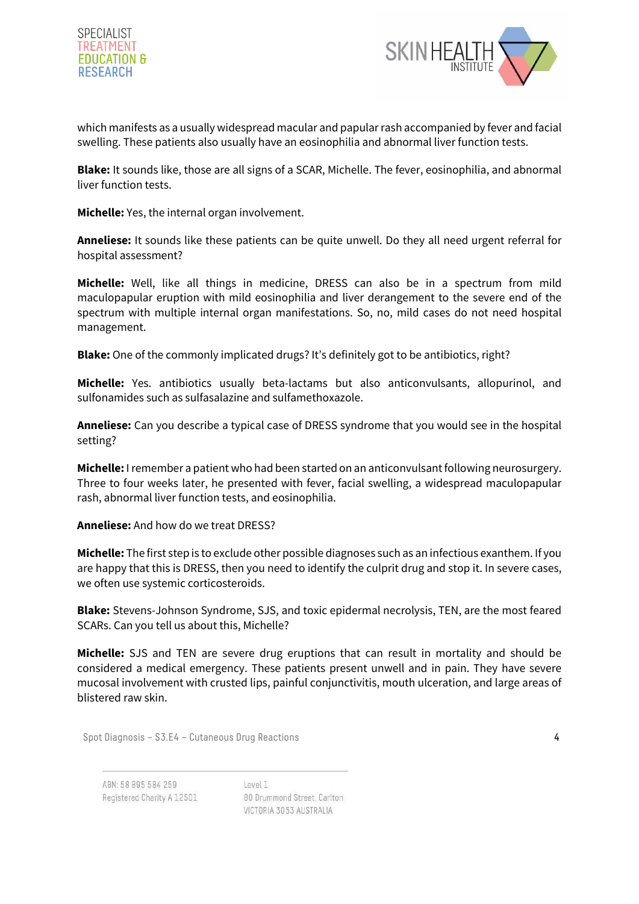



which manifests as a usually widespread macular and papular rash accompanied by fever and facial swelling. These patients also usually have an eosinophilia and abnormal liver function tests.

**Blake:** It sounds like, those are all signs of a SCAR, Michelle. The fever, eosinophilia, and abnormal liver function tests.

**Michelle:** Yes, the internal organ involvement.

**Anneliese:** It sounds like these patients can be quite unwell. Do they all need urgent referral for hospital assessment?

**Michelle:** Well, like all things in medicine, DRESS can also be in a spectrum from mild maculopapular eruption with mild eosinophilia and liver derangement to the severe end of the spectrum with multiple internal organ manifestations. So, no, mild cases do not need hospital management.

**Blake:** One of the commonly implicated drugs? It's definitely got to be antibiotics, right?

**Michelle:** Yes. antibiotics usually beta-lactams but also anticonvulsants, allopurinol, and sulfonamides such as sulfasalazine and sulfamethoxazole.

**Anneliese:** Can you describe a typical case of DRESS syndrome that you would see in the hospital setting?

**Michelle:** I remember a patient who had been started on an anticonvulsant following neurosurgery. Three to four weeks later, he presented with fever, facial swelling, a widespread maculopapular rash, abnormal liver function tests, and eosinophilia.

**Anneliese:** And how do we treat DRESS?

**Michelle:** The first step is to exclude other possible diagnoses such as an infectious exanthem. If you are happy that this is DRESS, then you need to identify the culprit drug and stop it. In severe cases, we often use systemic corticosteroids.

**Blake:** Stevens-Johnson Syndrome, SJS, and toxic epidermal necrolysis, TEN, are the most feared SCARs. Can you tell us about this, Michelle?

**Michelle:** SJS and TEN are severe drug eruptions that can result in mortality and should be considered a medical emergency. These patients present unwell and in pain. They have severe mucosal involvement with crusted lips, painful conjunctivitis, mouth ulceration, and large areas of blistered raw skin.

Spot Diagnosis – S3.E4 – Cutaneous Drug Reactions 4

ABN: 58 895 584 259 Registered Charity A 12501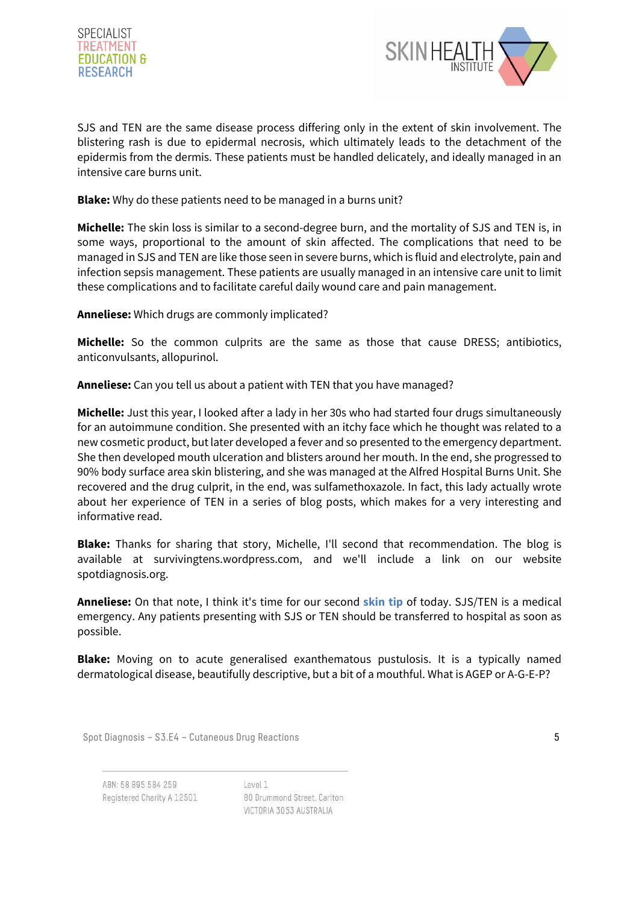



SJS and TEN are the same disease process differing only in the extent of skin involvement. The blistering rash is due to epidermal necrosis, which ultimately leads to the detachment of the epidermis from the dermis. These patients must be handled delicately, and ideally managed in an intensive care burns unit.

**Blake:** Why do these patients need to be managed in a burns unit?

**Michelle:** The skin loss is similar to a second-degree burn, and the mortality of SJS and TEN is, in some ways, proportional to the amount of skin affected. The complications that need to be managed in SJS and TEN are like those seen in severe burns, which is fluid and electrolyte, pain and infection sepsis management. These patients are usually managed in an intensive care unit to limit these complications and to facilitate careful daily wound care and pain management.

**Anneliese:** Which drugs are commonly implicated?

**Michelle:** So the common culprits are the same as those that cause DRESS; antibiotics, anticonvulsants, allopurinol.

**Anneliese:** Can you tell us about a patient with TEN that you have managed?

**Michelle:** Just this year, I looked after a lady in her 30s who had started four drugs simultaneously for an autoimmune condition. She presented with an itchy face which he thought was related to a new cosmetic product, but later developed a fever and so presented to the emergency department. She then developed mouth ulceration and blisters around her mouth. In the end, she progressed to 90% body surface area skin blistering, and she was managed at the Alfred Hospital Burns Unit. She recovered and the drug culprit, in the end, was sulfamethoxazole. In fact, this lady actually wrote about her experience of TEN in a series of blog posts, which makes for a very interesting and informative read.

**Blake:** Thanks for sharing that story, Michelle, I'll second that recommendation. The blog is available at survivingtens.wordpress.com, and we'll include a link on our website spotdiagnosis.org.

**Anneliese:** On that note, I think it's time for our second **skin tip** of today. SJS/TEN is a medical emergency. Any patients presenting with SJS or TEN should be transferred to hospital as soon as possible.

**Blake:** Moving on to acute generalised exanthematous pustulosis. It is a typically named dermatological disease, beautifully descriptive, but a bit of a mouthful. What is AGEP or A-G-E-P?

Spot Diagnosis – S3.E4 – Cutaneous Drug Reactions 5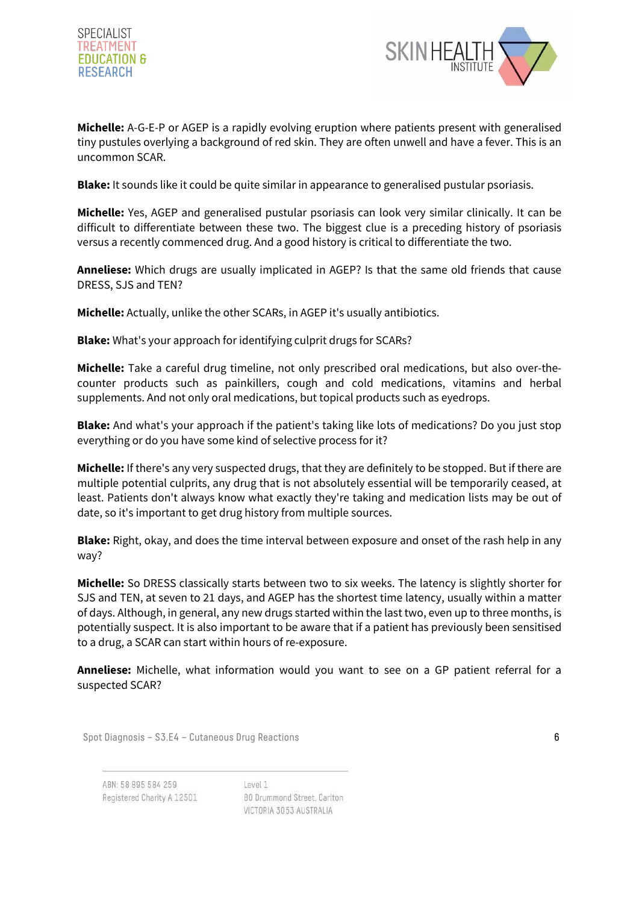



**Michelle:** A-G-E-P or AGEP is a rapidly evolving eruption where patients present with generalised tiny pustules overlying a background of red skin. They are often unwell and have a fever. This is an uncommon SCAR.

**Blake:** It sounds like it could be quite similar in appearance to generalised pustular psoriasis.

**Michelle:** Yes, AGEP and generalised pustular psoriasis can look very similar clinically. It can be difficult to differentiate between these two. The biggest clue is a preceding history of psoriasis versus a recently commenced drug. And a good history is critical to differentiate the two.

**Anneliese:** Which drugs are usually implicated in AGEP? Is that the same old friends that cause DRESS, SJS and TEN?

**Michelle:** Actually, unlike the other SCARs, in AGEP it's usually antibiotics.

**Blake:** What's your approach for identifying culprit drugs for SCARs?

**Michelle:** Take a careful drug timeline, not only prescribed oral medications, but also over-thecounter products such as painkillers, cough and cold medications, vitamins and herbal supplements. And not only oral medications, but topical products such as eyedrops.

**Blake:** And what's your approach if the patient's taking like lots of medications? Do you just stop everything or do you have some kind of selective process for it?

**Michelle:** If there's any very suspected drugs, that they are definitely to be stopped. But if there are multiple potential culprits, any drug that is not absolutely essential will be temporarily ceased, at least. Patients don't always know what exactly they're taking and medication lists may be out of date, so it's important to get drug history from multiple sources.

**Blake:** Right, okay, and does the time interval between exposure and onset of the rash help in any way?

**Michelle:** So DRESS classically starts between two to six weeks. The latency is slightly shorter for SJS and TEN, at seven to 21 days, and AGEP has the shortest time latency, usually within a matter of days. Although, in general, any new drugs started within the last two, even up to three months, is potentially suspect. It is also important to be aware that if a patient has previously been sensitised to a drug, a SCAR can start within hours of re-exposure.

**Anneliese:** Michelle, what information would you want to see on a GP patient referral for a suspected SCAR?

Spot Diagnosis – S3.E4 – Cutaneous Drug Reactions 6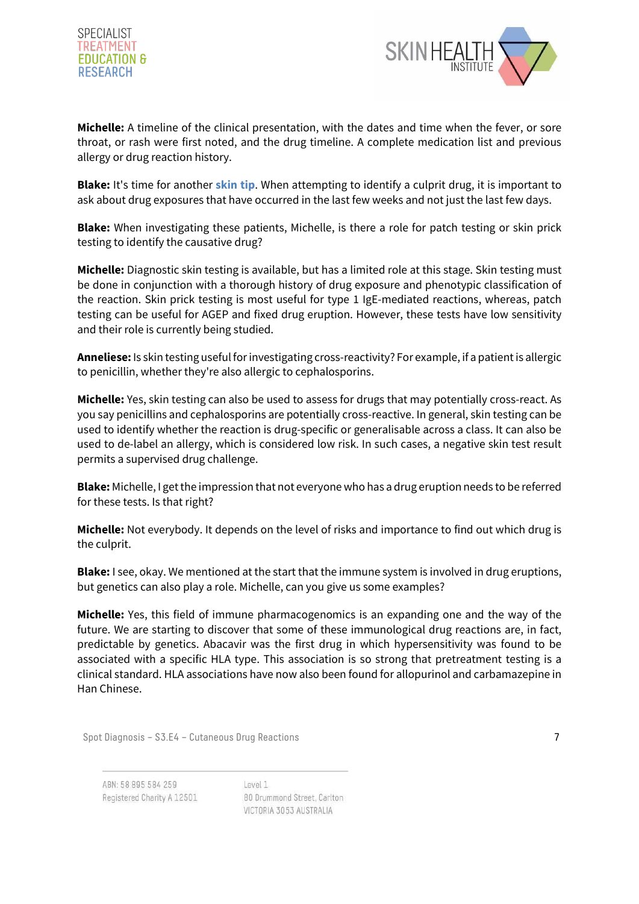



**Michelle:** A timeline of the clinical presentation, with the dates and time when the fever, or sore throat, or rash were first noted, and the drug timeline. A complete medication list and previous allergy or drug reaction history.

**Blake:** It's time for another **skin tip**. When attempting to identify a culprit drug, it is important to ask about drug exposures that have occurred in the last few weeks and not just the last few days.

**Blake:** When investigating these patients, Michelle, is there a role for patch testing or skin prick testing to identify the causative drug?

**Michelle:** Diagnostic skin testing is available, but has a limited role at this stage. Skin testing must be done in conjunction with a thorough history of drug exposure and phenotypic classification of the reaction. Skin prick testing is most useful for type 1 IgE-mediated reactions, whereas, patch testing can be useful for AGEP and fixed drug eruption. However, these tests have low sensitivity and their role is currently being studied.

**Anneliese:** Is skin testing useful for investigating cross-reactivity? For example, if a patient is allergic to penicillin, whether they're also allergic to cephalosporins.

**Michelle:** Yes, skin testing can also be used to assess for drugs that may potentially cross-react. As you say penicillins and cephalosporins are potentially cross-reactive. In general, skin testing can be used to identify whether the reaction is drug-specific or generalisable across a class. It can also be used to de-label an allergy, which is considered low risk. In such cases, a negative skin test result permits a supervised drug challenge.

**Blake:** Michelle, I get the impression that not everyone who has a drug eruption needs to be referred for these tests. Is that right?

**Michelle:** Not everybody. It depends on the level of risks and importance to find out which drug is the culprit.

**Blake:** I see, okay. We mentioned at the start that the immune system is involved in drug eruptions, but genetics can also play a role. Michelle, can you give us some examples?

**Michelle:** Yes, this field of immune pharmacogenomics is an expanding one and the way of the future. We are starting to discover that some of these immunological drug reactions are, in fact, predictable by genetics. Abacavir was the first drug in which hypersensitivity was found to be associated with a specific HLA type. This association is so strong that pretreatment testing is a clinical standard. HLA associations have now also been found for allopurinol and carbamazepine in Han Chinese.

Spot Diagnosis – S3.E4 – Cutaneous Drug Reactions 7

ABN: 58 895 584 259 Registered Charity A 12501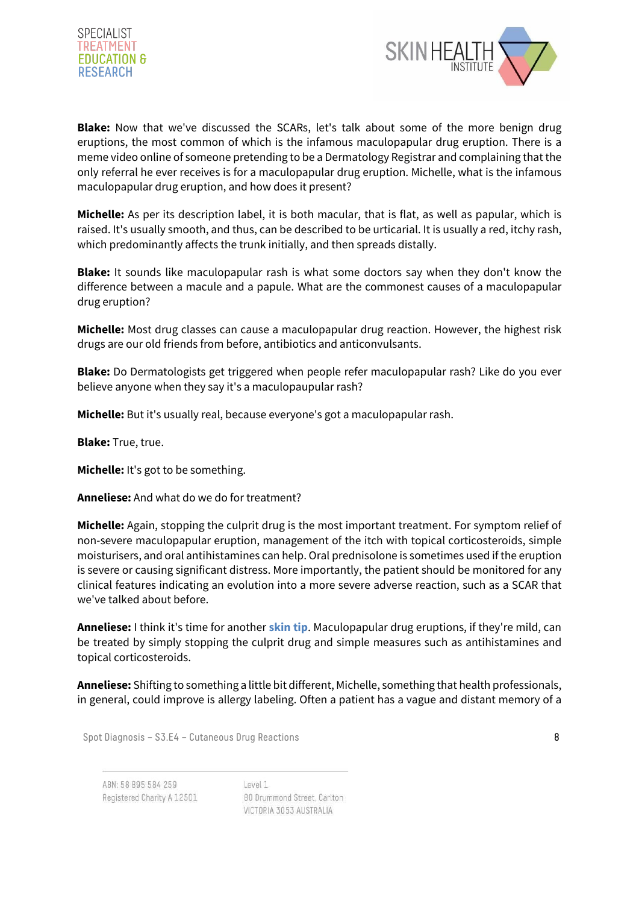



**Blake:** Now that we've discussed the SCARs, let's talk about some of the more benign drug eruptions, the most common of which is the infamous maculopapular drug eruption. There is a meme video online of someone pretending to be a Dermatology Registrar and complaining that the only referral he ever receives is for a maculopapular drug eruption. Michelle, what is the infamous maculopapular drug eruption, and how does it present?

**Michelle:** As per its description label, it is both macular, that is flat, as well as papular, which is raised. It's usually smooth, and thus, can be described to be urticarial. It is usually a red, itchy rash, which predominantly affects the trunk initially, and then spreads distally.

**Blake:** It sounds like maculopapular rash is what some doctors say when they don't know the difference between a macule and a papule. What are the commonest causes of a maculopapular drug eruption?

**Michelle:** Most drug classes can cause a maculopapular drug reaction. However, the highest risk drugs are our old friends from before, antibiotics and anticonvulsants.

**Blake:** Do Dermatologists get triggered when people refer maculopapular rash? Like do you ever believe anyone when they say it's a maculopaupular rash?

**Michelle:** But it's usually real, because everyone's got a maculopapular rash.

**Blake:** True, true.

**Michelle:** It's got to be something.

**Anneliese:** And what do we do for treatment?

**Michelle:** Again, stopping the culprit drug is the most important treatment. For symptom relief of non-severe maculopapular eruption, management of the itch with topical corticosteroids, simple moisturisers, and oral antihistamines can help. Oral prednisolone is sometimes used if the eruption is severe or causing significant distress. More importantly, the patient should be monitored for any clinical features indicating an evolution into a more severe adverse reaction, such as a SCAR that we've talked about before.

**Anneliese:** I think it's time for another **skin tip**. Maculopapular drug eruptions, if they're mild, can be treated by simply stopping the culprit drug and simple measures such as antihistamines and topical corticosteroids.

**Anneliese:** Shifting to something a little bit different, Michelle, something that health professionals, in general, could improve is allergy labeling. Often a patient has a vague and distant memory of a

Spot Diagnosis – S3.E4 – Cutaneous Drug Reactions 8

ABN: 58 895 584 259 Registered Charity A 12501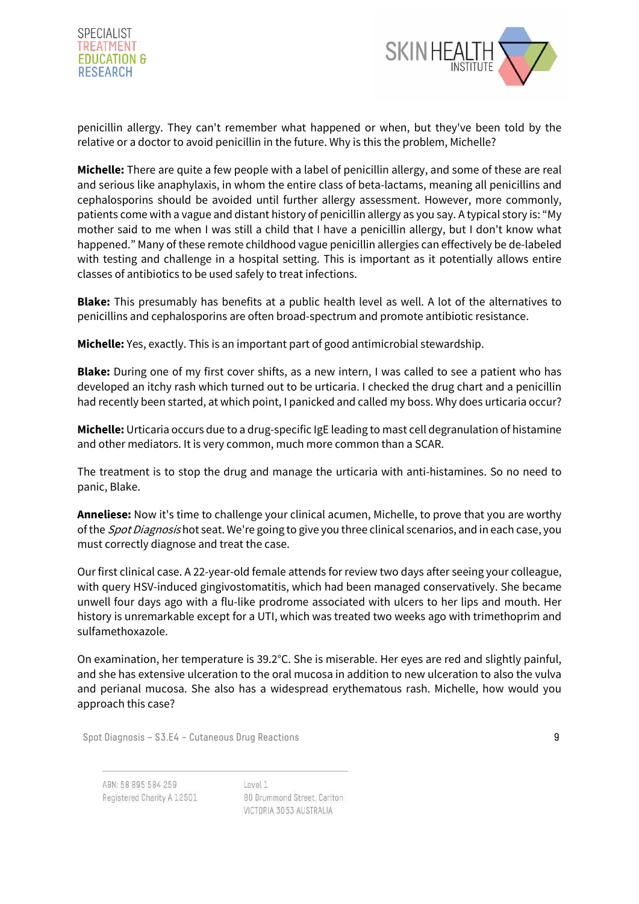



penicillin allergy. They can't remember what happened or when, but they've been told by the relative or a doctor to avoid penicillin in the future. Why is this the problem, Michelle?

**Michelle:** There are quite a few people with a label of penicillin allergy, and some of these are real and serious like anaphylaxis, in whom the entire class of beta-lactams, meaning all penicillins and cephalosporins should be avoided until further allergy assessment. However, more commonly, patients come with a vague and distant history of penicillin allergy as you say. A typical story is: "My mother said to me when I was still a child that I have a penicillin allergy, but I don't know what happened." Many of these remote childhood vague penicillin allergies can effectively be de-labeled with testing and challenge in a hospital setting. This is important as it potentially allows entire classes of antibiotics to be used safely to treat infections.

**Blake:** This presumably has benefits at a public health level as well. A lot of the alternatives to penicillins and cephalosporins are often broad-spectrum and promote antibiotic resistance.

**Michelle:** Yes, exactly. This is an important part of good antimicrobial stewardship.

**Blake:** During one of my first cover shifts, as a new intern, I was called to see a patient who has developed an itchy rash which turned out to be urticaria. I checked the drug chart and a penicillin had recently been started, at which point, I panicked and called my boss. Why does urticaria occur?

**Michelle:** Urticaria occurs due to a drug-specific IgE leading to mast cell degranulation of histamine and other mediators. It is very common, much more common than a SCAR.

The treatment is to stop the drug and manage the urticaria with anti-histamines. So no need to panic, Blake.

**Anneliese:** Now it's time to challenge your clinical acumen, Michelle, to prove that you are worthy of the *Spot Diagnosis* hot seat. We're going to give you three clinical scenarios, and in each case, you must correctly diagnose and treat the case.

Our first clinical case. A 22-year-old female attends for review two days after seeing your colleague, with query HSV-induced gingivostomatitis, which had been managed conservatively. She became unwell four days ago with a flu-like prodrome associated with ulcers to her lips and mouth. Her history is unremarkable except for a UTI, which was treated two weeks ago with trimethoprim and sulfamethoxazole.

On examination, her temperature is 39.2°C. She is miserable. Her eyes are red and slightly painful, and she has extensive ulceration to the oral mucosa in addition to new ulceration to also the vulva and perianal mucosa. She also has a widespread erythematous rash. Michelle, how would you approach this case?

Spot Diagnosis – S3.E4 – Cutaneous Drug Reactions 9

ABN: 58 895 584 259 Registered Charity A 12501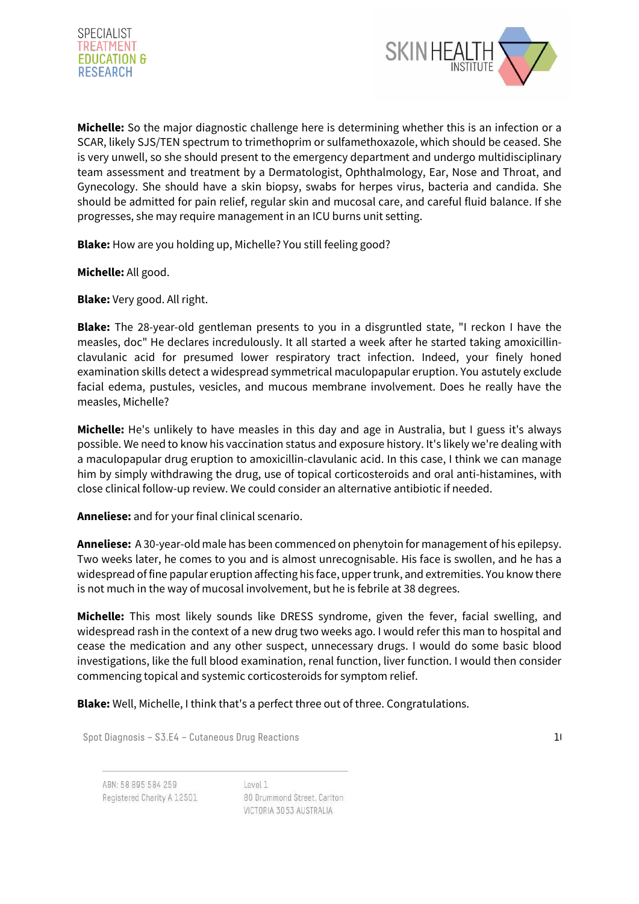



**Michelle:** So the major diagnostic challenge here is determining whether this is an infection or a SCAR, likely SJS/TEN spectrum to trimethoprim or sulfamethoxazole, which should be ceased. She is very unwell, so she should present to the emergency department and undergo multidisciplinary team assessment and treatment by a Dermatologist, Ophthalmology, Ear, Nose and Throat, and Gynecology. She should have a skin biopsy, swabs for herpes virus, bacteria and candida. She should be admitted for pain relief, regular skin and mucosal care, and careful fluid balance. If she progresses, she may require management in an ICU burns unit setting.

**Blake:** How are you holding up, Michelle? You still feeling good?

**Michelle:** All good.

**Blake:** Very good. All right.

**Blake:** The 28-year-old gentleman presents to you in a disgruntled state, "I reckon I have the measles, doc" He declares incredulously. It all started a week after he started taking amoxicillinclavulanic acid for presumed lower respiratory tract infection. Indeed, your finely honed examination skills detect a widespread symmetrical maculopapular eruption. You astutely exclude facial edema, pustules, vesicles, and mucous membrane involvement. Does he really have the measles, Michelle?

**Michelle:** He's unlikely to have measles in this day and age in Australia, but I guess it's always possible. We need to know his vaccination status and exposure history. It's likely we're dealing with a maculopapular drug eruption to amoxicillin-clavulanic acid. In this case, I think we can manage him by simply withdrawing the drug, use of topical corticosteroids and oral anti-histamines, with close clinical follow-up review. We could consider an alternative antibiotic if needed.

**Anneliese:** and for your final clinical scenario.

**Anneliese:** A 30-year-old male has been commenced on phenytoin for management of his epilepsy. Two weeks later, he comes to you and is almost unrecognisable. His face is swollen, and he has a widespread of fine papular eruption affecting his face, upper trunk, and extremities. You know there is not much in the way of mucosal involvement, but he is febrile at 38 degrees.

**Michelle:** This most likely sounds like DRESS syndrome, given the fever, facial swelling, and widespread rash in the context of a new drug two weeks ago. I would refer this man to hospital and cease the medication and any other suspect, unnecessary drugs. I would do some basic blood investigations, like the full blood examination, renal function, liver function. I would then consider commencing topical and systemic corticosteroids for symptom relief.

**Blake:** Well, Michelle, I think that's a perfect three out of three. Congratulations.

Spot Diagnosis – S3.E4 – Cutaneous Drug Reactions 10 and 10 and 10 and 10 and 10 and 10 and 10 and 10 and 10 and 10 and 10 and 10 and 10 and 10 and 10 and 10 and 10 and 10 and 10 and 10 and 10 and 10 and 10 and 10 and 10 a

ABN: 58 895 584 259 Registered Charity A 12501